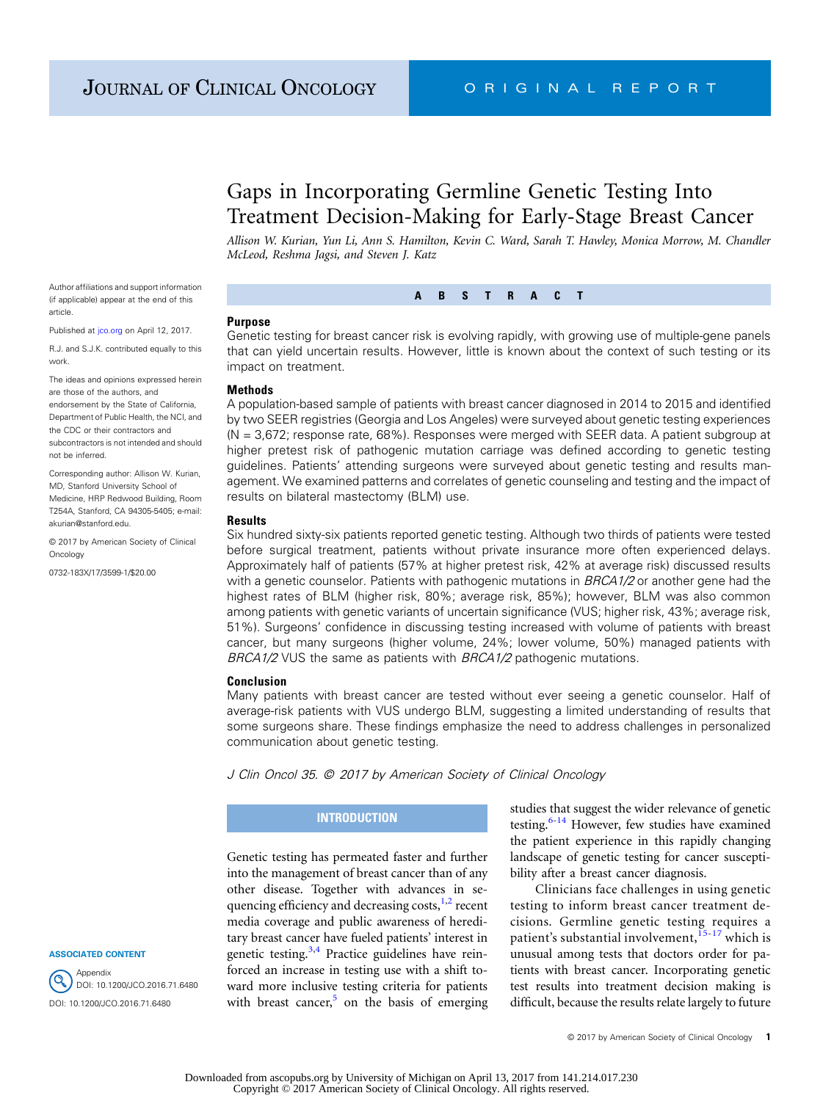# Gaps in Incorporating Germline Genetic Testing Into Treatment Decision-Making for Early-Stage Breast Cancer

Allison W. Kurian, Yun Li, Ann S. Hamilton, Kevin C. Ward, Sarah T. Hawley, Monica Morrow, M. Chandler McLeod, Reshma Jagsi, and Steven J. Katz

ABSTRACT

Author affiliations and support information (if applicable) appear at the end of this article.

Published at [jco.org](http://jco.org) on April 12, 2017.

R.J. and S.J.K. contributed equally to this work.

The ideas and opinions expressed herein are those of the authors, and endorsement by the State of California, Department of Public Health, the NCI, and the CDC or their contractors and subcontractors is not intended and should not be inferred.

Corresponding author: Allison W. Kurian, MD, Stanford University School of Medicine, HRP Redwood Building, Room T254A, Stanford, CA 94305-5405; e-mail: [akurian@stanford.edu.](mailto:akurian@stanford.edu)

© 2017 by American Society of Clinical **Oncology** 

0732-183X/17/3599-1/\$20.00

# Purpose

Genetic testing for breast cancer risk is evolving rapidly, with growing use of multiple-gene panels that can yield uncertain results. However, little is known about the context of such testing or its impact on treatment.

## Methods

A population-based sample of patients with breast cancer diagnosed in 2014 to 2015 and identified by two SEER registries (Georgia and Los Angeles) were surveyed about genetic testing experiences (N = 3,672; response rate, 68%). Responses were merged with SEER data. A patient subgroup at higher pretest risk of pathogenic mutation carriage was defined according to genetic testing guidelines. Patients' attending surgeons were surveyed about genetic testing and results management. We examined patterns and correlates of genetic counseling and testing and the impact of results on bilateral mastectomy (BLM) use.

#### **Results**

Six hundred sixty-six patients reported genetic testing. Although two thirds of patients were tested before surgical treatment, patients without private insurance more often experienced delays. Approximately half of patients (57% at higher pretest risk, 42% at average risk) discussed results with a genetic counselor. Patients with pathogenic mutations in BRCA1/2 or another gene had the highest rates of BLM (higher risk, 80%; average risk, 85%); however, BLM was also common among patients with genetic variants of uncertain significance (VUS; higher risk, 43%; average risk, 51%). Surgeons' confidence in discussing testing increased with volume of patients with breast cancer, but many surgeons (higher volume, 24%; lower volume, 50%) managed patients with BRCA1/2 VUS the same as patients with BRCA1/2 pathogenic mutations.

#### Conclusion

Many patients with breast cancer are tested without ever seeing a genetic counselor. Half of average-risk patients with VUS undergo BLM, suggesting a limited understanding of results that some surgeons share. These findings emphasize the need to address challenges in personalized communication about genetic testing.

J Clin Oncol 35. © 2017 by American Society of Clinical Oncology

# **INTRODUCTION**

Genetic testing has permeated faster and further into the management of breast cancer than of any other disease. Together with advances in sequencing efficiency and decreasing costs,  $1,2$  recent media coverage and public awareness of hereditary breast cancer have fueled patients' interest in genetic testing.<sup>[3,4](#page-6-0)</sup> Practice guidelines have reinforced an increase in testing use with a shift toward more inclusive testing criteria for patients with breast cancer, $5$  on the basis of emerging studies that suggest the wider relevance of genetic testing.<sup>[6](#page-6-0)-[14](#page-6-0)</sup> However, few studies have examined the patient experience in this rapidly changing landscape of genetic testing for cancer susceptibility after a breast cancer diagnosis.

Clinicians face challenges in using genetic testing to inform breast cancer treatment decisions. Germline genetic testing requires a patient's substantial involvement,  $15-17$  $15-17$  $15-17$  which is unusual among tests that doctors order for patients with breast cancer. Incorporating genetic test results into treatment decision making is difficult, because the results relate largely to future

© 2017 by American Society of Clinical Oncology 1

ASSOCIATED CONTENT

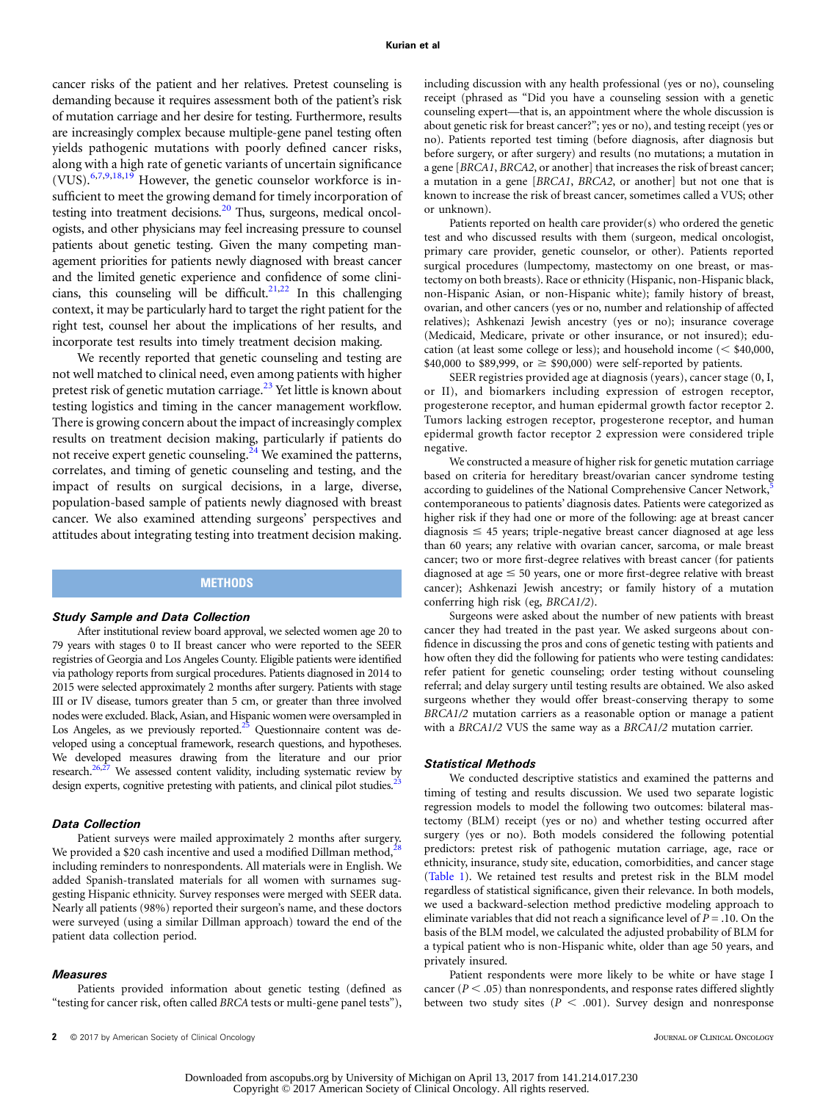cancer risks of the patient and her relatives. Pretest counseling is demanding because it requires assessment both of the patient's risk of mutation carriage and her desire for testing. Furthermore, results are increasingly complex because multiple-gene panel testing often yields pathogenic mutations with poorly defined cancer risks, along with a high rate of genetic variants of uncertain significance (VUS).<sup>[6,7,9](#page-6-0),[18,19](#page-6-0)</sup> However, the genetic counselor workforce is insufficient to meet the growing demand for timely incorporation of testing into treatment decisions.<sup>[20](#page-6-0)</sup> Thus, surgeons, medical oncologists, and other physicians may feel increasing pressure to counsel patients about genetic testing. Given the many competing management priorities for patients newly diagnosed with breast cancer and the limited genetic experience and confidence of some clini-cians, this counseling will be difficult.<sup>[21,22](#page-7-0)</sup> In this challenging context, it may be particularly hard to target the right patient for the right test, counsel her about the implications of her results, and incorporate test results into timely treatment decision making.

We recently reported that genetic counseling and testing are not well matched to clinical need, even among patients with higher pretest risk of genetic mutation carriage.<sup>[23](#page-7-0)</sup> Yet little is known about testing logistics and timing in the cancer management workflow. There is growing concern about the impact of increasingly complex results on treatment decision making, particularly if patients do not receive expert genetic counseling.<sup>[24](#page-7-0)</sup> We examined the patterns, correlates, and timing of genetic counseling and testing, and the impact of results on surgical decisions, in a large, diverse, population-based sample of patients newly diagnosed with breast cancer. We also examined attending surgeons' perspectives and attitudes about integrating testing into treatment decision making.

# **METHODS**

#### Study Sample and Data Collection

After institutional review board approval, we selected women age 20 to 79 years with stages 0 to II breast cancer who were reported to the SEER registries of Georgia and Los Angeles County. Eligible patients were identified via pathology reports from surgical procedures. Patients diagnosed in 2014 to 2015 were selected approximately 2 months after surgery. Patients with stage III or IV disease, tumors greater than 5 cm, or greater than three involved nodes were excluded. Black, Asian, and Hispanic women were oversampled in Los Angeles, as we previously reported. $25$  Questionnaire content was developed using a conceptual framework, research questions, and hypotheses. We developed measures drawing from the literature and our prior research. $26,27$  $26,27$  We assessed content validity, including systematic review by design experts, cognitive pretesting with patients, and clinical pilot studies.<sup>2</sup>

### Data Collection

Patient surveys were mailed approximately 2 months after surgery. We provided a \$20 cash incentive and used a modified Dillman method,<sup>2</sup> including reminders to nonrespondents. All materials were in English. We added Spanish-translated materials for all women with surnames suggesting Hispanic ethnicity. Survey responses were merged with SEER data. Nearly all patients (98%) reported their surgeon's name, and these doctors were surveyed (using a similar Dillman approach) toward the end of the patient data collection period.

#### Measures

Patients provided information about genetic testing (defined as "testing for cancer risk, often called BRCA tests or multi-gene panel tests"),

including discussion with any health professional (yes or no), counseling receipt (phrased as "Did you have a counseling session with a genetic counseling expert—that is, an appointment where the whole discussion is about genetic risk for breast cancer?"; yes or no), and testing receipt (yes or no). Patients reported test timing (before diagnosis, after diagnosis but before surgery, or after surgery) and results (no mutations; a mutation in a gene [BRCA1, BRCA2, or another] that increases the risk of breast cancer; a mutation in a gene [BRCA1, BRCA2, or another] but not one that is known to increase the risk of breast cancer, sometimes called a VUS; other or unknown).

Patients reported on health care provider(s) who ordered the genetic test and who discussed results with them (surgeon, medical oncologist, primary care provider, genetic counselor, or other). Patients reported surgical procedures (lumpectomy, mastectomy on one breast, or mastectomy on both breasts). Race or ethnicity (Hispanic, non-Hispanic black, non-Hispanic Asian, or non-Hispanic white); family history of breast, ovarian, and other cancers (yes or no, number and relationship of affected relatives); Ashkenazi Jewish ancestry (yes or no); insurance coverage (Medicaid, Medicare, private or other insurance, or not insured); education (at least some college or less); and household income  $(<$  \$40,000, \$40,000 to \$89,999, or  $\ge$  \$90,000) were self-reported by patients.

SEER registries provided age at diagnosis (years), cancer stage (0, I, or II), and biomarkers including expression of estrogen receptor, progesterone receptor, and human epidermal growth factor receptor 2. Tumors lacking estrogen receptor, progesterone receptor, and human epidermal growth factor receptor 2 expression were considered triple negative.

We constructed a measure of higher risk for genetic mutation carriage based on criteria for hereditary breast/ovarian cancer syndrome testing according to guidelines of the National Comprehensive Cancer Network, contemporaneous to patients' diagnosis dates. Patients were categorized as higher risk if they had one or more of the following: age at breast cancer diagnosis  $\leq$  45 years; triple-negative breast cancer diagnosed at age less than 60 years; any relative with ovarian cancer, sarcoma, or male breast cancer; two or more first-degree relatives with breast cancer (for patients diagnosed at age  $\leq 50$  years, one or more first-degree relative with breast cancer); Ashkenazi Jewish ancestry; or family history of a mutation conferring high risk (eg, BRCA1/2).

Surgeons were asked about the number of new patients with breast cancer they had treated in the past year. We asked surgeons about confidence in discussing the pros and cons of genetic testing with patients and how often they did the following for patients who were testing candidates: refer patient for genetic counseling; order testing without counseling referral; and delay surgery until testing results are obtained. We also asked surgeons whether they would offer breast-conserving therapy to some BRCA1/2 mutation carriers as a reasonable option or manage a patient with a BRCA1/2 VUS the same way as a BRCA1/2 mutation carrier.

### Statistical Methods

We conducted descriptive statistics and examined the patterns and timing of testing and results discussion. We used two separate logistic regression models to model the following two outcomes: bilateral mastectomy (BLM) receipt (yes or no) and whether testing occurred after surgery (yes or no). Both models considered the following potential predictors: pretest risk of pathogenic mutation carriage, age, race or ethnicity, insurance, study site, education, comorbidities, and cancer stage ([Table 1](#page-2-0)). We retained test results and pretest risk in the BLM model regardless of statistical significance, given their relevance. In both models, we used a backward-selection method predictive modeling approach to eliminate variables that did not reach a significance level of  $P = .10$ . On the basis of the BLM model, we calculated the adjusted probability of BLM for a typical patient who is non-Hispanic white, older than age 50 years, and privately insured.

Patient respondents were more likely to be white or have stage I cancer ( $P < .05$ ) than nonrespondents, and response rates differed slightly between two study sites ( $P < .001$ ). Survey design and nonresponse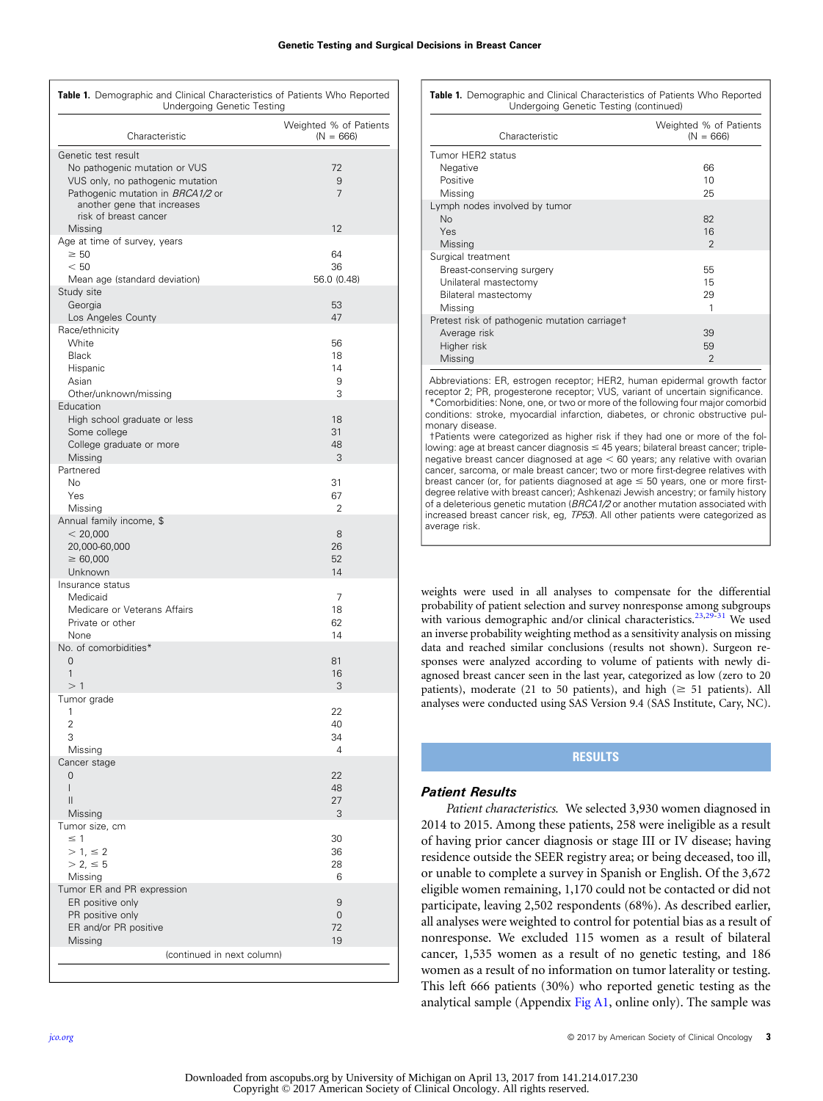<span id="page-2-0"></span>

|                                                                   | Weighted % of Patients |
|-------------------------------------------------------------------|------------------------|
| Characteristic                                                    | $(N = 666)$            |
| Genetic test result                                               | 72                     |
| No pathogenic mutation or VUS<br>VUS only, no pathogenic mutation | 9                      |
| Pathogenic mutation in BRCA1/2 or                                 | $\overline{7}$         |
| another gene that increases                                       |                        |
| risk of breast cancer                                             |                        |
| Missing                                                           | 12                     |
| Age at time of survey, years<br>$\geq 50$                         | 64                     |
| < 50                                                              | 36                     |
| Mean age (standard deviation)                                     | 56.0 (0.48)            |
| Study site                                                        |                        |
| Georgia                                                           | 53                     |
| Los Angeles County                                                | 47                     |
| Race/ethnicity                                                    |                        |
| White                                                             | 56                     |
| <b>Black</b><br>Hispanic                                          | 18<br>14               |
| Asian                                                             | 9                      |
| Other/unknown/missing                                             | 3                      |
| Education                                                         |                        |
| High school graduate or less                                      | 18                     |
| Some college                                                      | 31                     |
| College graduate or more                                          | 48<br>3                |
| Missing<br>Partnered                                              |                        |
| No                                                                | 31                     |
| Yes                                                               | 67                     |
| Missing                                                           | 2                      |
| Annual family income, \$                                          |                        |
| < 20,000                                                          | 8                      |
| 20,000-60,000                                                     | 26<br>52               |
| $\geq 60,000$<br>Unknown                                          | 14                     |
| Insurance status                                                  |                        |
| Medicaid                                                          | 7                      |
| Medicare or Veterans Affairs                                      | 18                     |
| Private or other                                                  | 62                     |
| None                                                              | 14                     |
| No. of comorbidities*<br>0                                        | 81                     |
| 1                                                                 | 16                     |
| >1                                                                | 3                      |
| Tumor grade                                                       |                        |
| 1                                                                 | 22                     |
| 2                                                                 | 40                     |
| 3                                                                 | 34                     |
| Missing                                                           | 4                      |
| Cancer stage<br>0                                                 | 22                     |
| $\mathsf{I}$                                                      | 48                     |
| $\mathsf{II}$                                                     | 27                     |
| Missing                                                           | 3                      |
| Tumor size, cm                                                    |                        |
| $\leq$ 1                                                          | 30                     |
| $> 1, \leq 2$<br>$> 2, \leq 5$                                    | 36<br>28               |
| Missing                                                           | 6                      |
| Tumor ER and PR expression                                        |                        |
| ER positive only                                                  | 9                      |
| PR positive only                                                  | $\mathbf{0}$           |
| ER and/or PR positive                                             | 72                     |
| Missing                                                           | 19                     |
| (continued in next column)                                        |                        |

| <b>Table 1.</b> Demographic and Clinical Characteristics of Patients Who Reported<br>Undergoing Genetic Testing (continued) |                                       |  |  |
|-----------------------------------------------------------------------------------------------------------------------------|---------------------------------------|--|--|
| Characteristic                                                                                                              | Weighted % of Patients<br>$(N = 666)$ |  |  |
|                                                                                                                             |                                       |  |  |

| Tumor HER2 status<br>Negative<br>Positive<br>Missing | 66<br>10<br>25 |
|------------------------------------------------------|----------------|
| Lymph nodes involved by tumor<br>N <sub>o</sub>      | 82             |
| Yes                                                  | 16             |
| Missing                                              | 2              |
| Surgical treatment                                   |                |
|                                                      |                |
| Breast-conserving surgery                            | 55             |
| Unilateral mastectomy                                | 15             |
| Bilateral mastectomy                                 | 29             |
| Missing                                              |                |
| Pretest risk of pathogenic mutation carriaget        |                |
| Average risk                                         | 39             |
| Higher risk                                          | 59             |
| Missing                                              | $\overline{2}$ |

Abbreviations: ER, estrogen receptor; HER2, human epidermal growth factor receptor 2; PR, progesterone receptor; VUS, variant of uncertain significance. \*Comorbidities: None, one, or two or more of the following four major comorbid conditions: stroke, myocardial infarction, diabetes, or chronic obstructive pulmonary disease.

†Patients were categorized as higher risk if they had one or more of the following: age at breast cancer diagnosis  $\leq 45$  years; bilateral breast cancer; triplenegative breast cancer diagnosed at age  $< 60$  years; any relative with ovarian cancer, sarcoma, or male breast cancer; two or more first-degree relatives with breast cancer (or, for patients diagnosed at age  $\leq$  50 years, one or more firstdegree relative with breast cancer); Ashkenazi Jewish ancestry; or family history of a deleterious genetic mutation (BRCA1/2 or another mutation associated with increased breast cancer risk, eg, TP53). All other patients were categorized as average risk.

weights were used in all analyses to compensate for the differential probability of patient selection and survey nonresponse among subgroups with various demographic and/or clinical characteristics.<sup>[23](#page-7-0),[29-31](#page-7-0)</sup> We used an inverse probability weighting method as a sensitivity analysis on missing data and reached similar conclusions (results not shown). Surgeon responses were analyzed according to volume of patients with newly diagnosed breast cancer seen in the last year, categorized as low (zero to 20 patients), moderate (21 to 50 patients), and high ( $\geq$  51 patients). All analyses were conducted using SAS Version 9.4 (SAS Institute, Cary, NC).

# **RESULTS**

### Patient Results

Patient characteristics. We selected 3,930 women diagnosed in 2014 to 2015. Among these patients, 258 were ineligible as a result of having prior cancer diagnosis or stage III or IV disease; having residence outside the SEER registry area; or being deceased, too ill, or unable to complete a survey in Spanish or English. Of the 3,672 eligible women remaining, 1,170 could not be contacted or did not participate, leaving 2,502 respondents (68%). As described earlier, all analyses were weighted to control for potential bias as a result of nonresponse. We excluded 115 women as a result of bilateral cancer, 1,535 women as a result of no genetic testing, and 186 women as a result of no information on tumor laterality or testing. This left 666 patients (30%) who reported genetic testing as the analytical sample (Appendix [Fig A1,](#page-9-0) online only). The sample was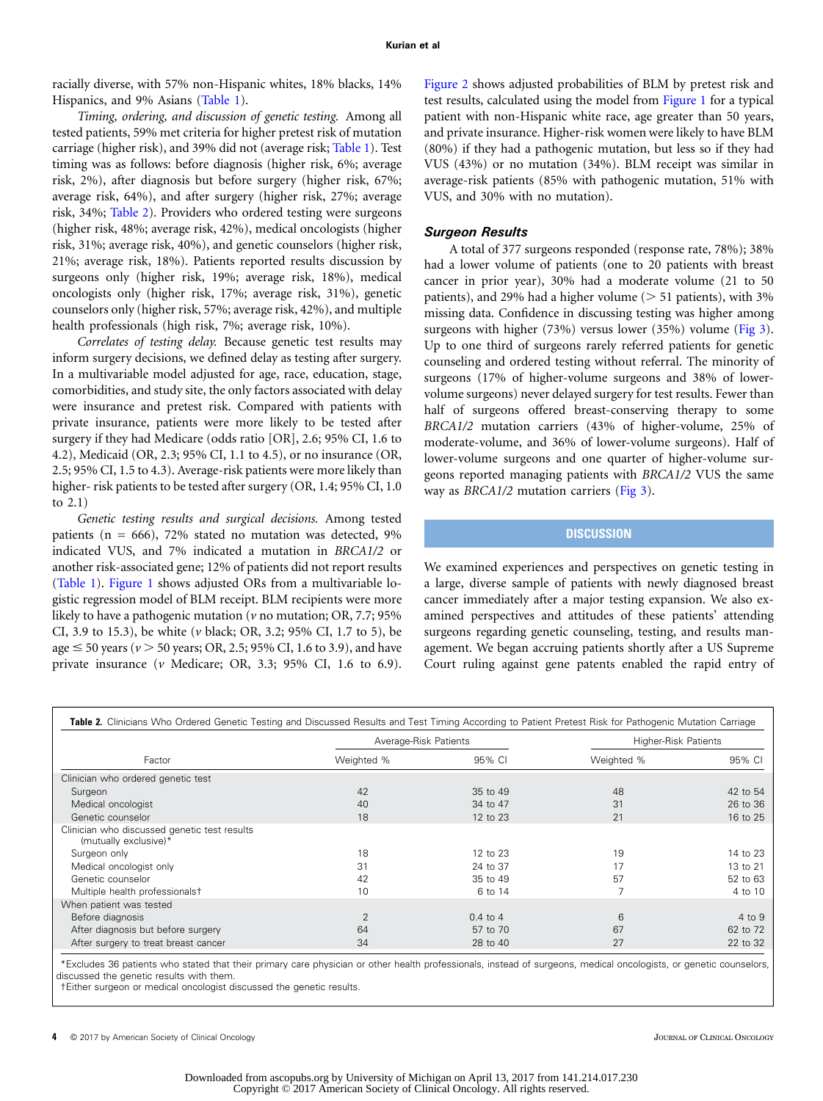racially diverse, with 57% non-Hispanic whites, 18% blacks, 14% Hispanics, and 9% Asians [\(Table 1\)](#page-2-0).

Timing, ordering, and discussion of genetic testing. Among all tested patients, 59% met criteria for higher pretest risk of mutation carriage (higher risk), and 39% did not (average risk; [Table 1](#page-2-0)). Test timing was as follows: before diagnosis (higher risk, 6%; average risk, 2%), after diagnosis but before surgery (higher risk, 67%; average risk, 64%), and after surgery (higher risk, 27%; average risk, 34%; Table 2). Providers who ordered testing were surgeons (higher risk, 48%; average risk, 42%), medical oncologists (higher risk, 31%; average risk, 40%), and genetic counselors (higher risk, 21%; average risk, 18%). Patients reported results discussion by surgeons only (higher risk, 19%; average risk, 18%), medical oncologists only (higher risk, 17%; average risk, 31%), genetic counselors only (higher risk, 57%; average risk, 42%), and multiple health professionals (high risk, 7%; average risk, 10%).

Correlates of testing delay. Because genetic test results may inform surgery decisions, we defined delay as testing after surgery. In a multivariable model adjusted for age, race, education, stage, comorbidities, and study site, the only factors associated with delay were insurance and pretest risk. Compared with patients with private insurance, patients were more likely to be tested after surgery if they had Medicare (odds ratio [OR], 2.6; 95% CI, 1.6 to 4.2), Medicaid (OR, 2.3; 95% CI, 1.1 to 4.5), or no insurance (OR, 2.5; 95% CI, 1.5 to 4.3). Average-risk patients were more likely than higher- risk patients to be tested after surgery (OR, 1.4; 95% CI, 1.0 to 2.1)

Genetic testing results and surgical decisions. Among tested patients ( $n = 666$ ), 72% stated no mutation was detected, 9% indicated VUS, and 7% indicated a mutation in BRCA1/2 or another risk-associated gene; 12% of patients did not report results [\(Table 1](#page-2-0)). [Figure 1](#page-4-0) shows adjusted ORs from a multivariable logistic regression model of BLM receipt. BLM recipients were more likely to have a pathogenic mutation ( $\nu$  no mutation; OR, 7.7; 95% CI, 3.9 to 15.3), be white ( $\nu$  black; OR, 3.2; 95% CI, 1.7 to 5), be age  $\leq$  50 years ( $v$   $>$  50 years; OR, 2.5; 95% CI, 1.6 to 3.9), and have private insurance ( $\nu$  Medicare; OR, 3.3; 95% CI, 1.6 to 6.9). [Figure 2](#page-4-0) shows adjusted probabilities of BLM by pretest risk and test results, calculated using the model from [Figure 1](#page-4-0) for a typical patient with non-Hispanic white race, age greater than 50 years, and private insurance. Higher-risk women were likely to have BLM (80%) if they had a pathogenic mutation, but less so if they had VUS (43%) or no mutation (34%). BLM receipt was similar in average-risk patients (85% with pathogenic mutation, 51% with VUS, and 30% with no mutation).

# Surgeon Results

A total of 377 surgeons responded (response rate, 78%); 38% had a lower volume of patients (one to 20 patients with breast cancer in prior year), 30% had a moderate volume (21 to 50 patients), and 29% had a higher volume ( $> 51$  patients), with 3% missing data. Confidence in discussing testing was higher among surgeons with higher (73%) versus lower (35%) volume [\(Fig 3](#page-5-0)). Up to one third of surgeons rarely referred patients for genetic counseling and ordered testing without referral. The minority of surgeons (17% of higher-volume surgeons and 38% of lowervolume surgeons) never delayed surgery for test results. Fewer than half of surgeons offered breast-conserving therapy to some BRCA1/2 mutation carriers (43% of higher-volume, 25% of moderate-volume, and 36% of lower-volume surgeons). Half of lower-volume surgeons and one quarter of higher-volume surgeons reported managing patients with BRCA1/2 VUS the same way as *BRCA1/2* mutation carriers ([Fig 3\)](#page-5-0).

# **DISCUSSION**

We examined experiences and perspectives on genetic testing in a large, diverse sample of patients with newly diagnosed breast cancer immediately after a major testing expansion. We also examined perspectives and attitudes of these patients' attending surgeons regarding genetic counseling, testing, and results management. We began accruing patients shortly after a US Supreme Court ruling against gene patents enabled the rapid entry of

| Factor                                                                | Average-Risk Patients |              | <b>Higher-Risk Patients</b> |            |
|-----------------------------------------------------------------------|-----------------------|--------------|-----------------------------|------------|
|                                                                       | Weighted %            | 95% CI       | Weighted %                  | 95% CI     |
| Clinician who ordered genetic test                                    |                       |              |                             |            |
| Surgeon                                                               | 42                    | 35 to 49     | 48                          | 42 to 54   |
| Medical oncologist                                                    | 40                    | 34 to 47     | 31                          | 26 to 36   |
| Genetic counselor                                                     | 18                    | 12 to 23     | 21                          | 16 to 25   |
| Clinician who discussed genetic test results<br>(mutually exclusive)* |                       |              |                             |            |
| Surgeon only                                                          | 18                    | 12 to 23     | 19                          | 14 to 23   |
| Medical oncologist only                                               | 31                    | 24 to 37     | 17                          | 13 to 21   |
| Genetic counselor                                                     | 42                    | 35 to 49     | 57                          | 52 to 63   |
| Multiple health professionalst                                        | 10                    | 6 to 14      |                             | 4 to 10    |
| When patient was tested                                               |                       |              |                             |            |
| Before diagnosis                                                      | $\overline{2}$        | $0.4$ to $4$ | 6                           | $4$ to $9$ |
| After diagnosis but before surgery                                    | 64                    | 57 to 70     | 67                          | 62 to 72   |
| After surgery to treat breast cancer                                  | 34                    | 28 to 40     | 27                          | 22 to 32   |

\*Excludes 36 patients who stated that their primary care physician or other health professionals, instead of surgeons, medical oncologists, or genetic counselors, discussed the genetic results with them.

†Either surgeon or medical oncologist discussed the genetic results.

 $\degree$  2017 by American Society of Clinical Oncology JOURNAL OF CLINICAL ONCOLOGY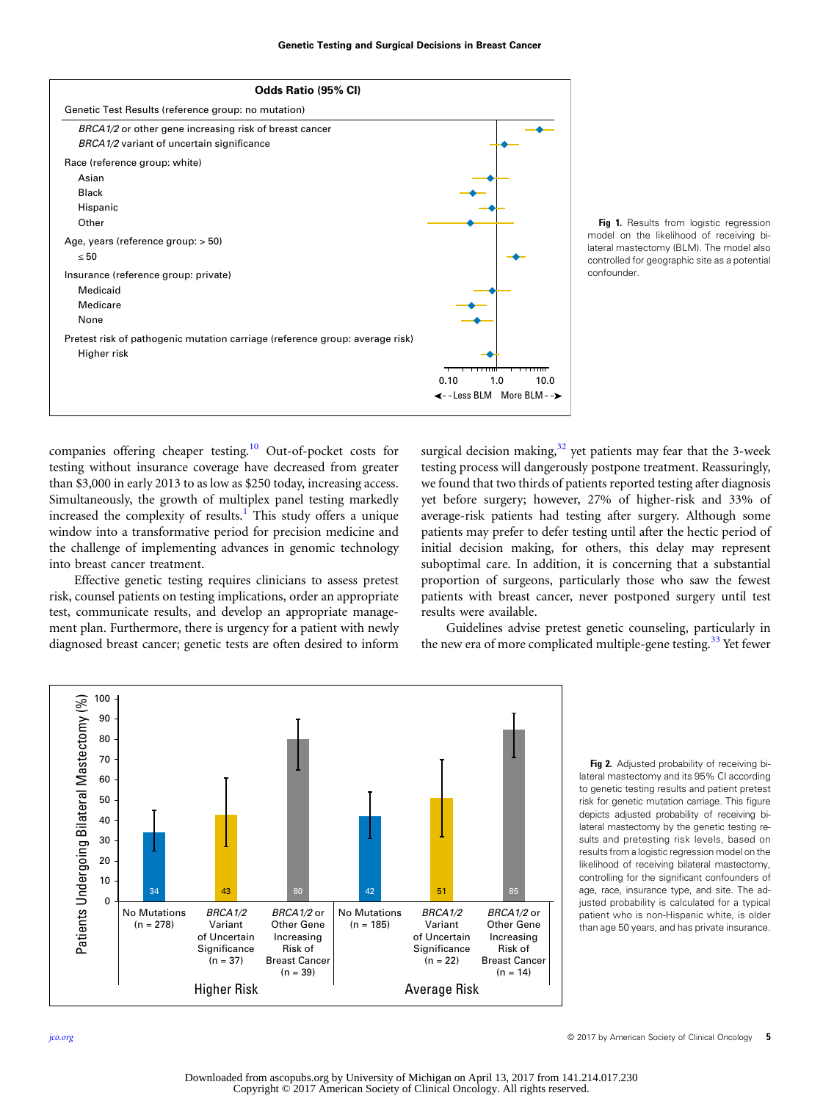<span id="page-4-0"></span>

Fig 1. Results from logistic regression model on the likelihood of receiving bilateral mastectomy (BLM). The model also controlled for geographic site as a potential confounder.

companies offering cheaper testing.<sup>[10](#page-6-0)</sup> Out-of-pocket costs for testing without insurance coverage have decreased from greater than \$3,000 in early 2013 to as low as \$250 today, increasing access. Simultaneously, the growth of multiplex panel testing markedly increased the complexity of results.<sup>[1](#page-6-0)</sup> This study offers a unique window into a transformative period for precision medicine and the challenge of implementing advances in genomic technology into breast cancer treatment.

Effective genetic testing requires clinicians to assess pretest risk, counsel patients on testing implications, order an appropriate test, communicate results, and develop an appropriate management plan. Furthermore, there is urgency for a patient with newly diagnosed breast cancer; genetic tests are often desired to inform

surgical decision making, $32$  yet patients may fear that the 3-week testing process will dangerously postpone treatment. Reassuringly, we found that two thirds of patients reported testing after diagnosis yet before surgery; however, 27% of higher-risk and 33% of average-risk patients had testing after surgery. Although some patients may prefer to defer testing until after the hectic period of initial decision making, for others, this delay may represent suboptimal care. In addition, it is concerning that a substantial proportion of surgeons, particularly those who saw the fewest patients with breast cancer, never postponed surgery until test results were available.

Guidelines advise pretest genetic counseling, particularly in the new era of more complicated multiple-gene testing.<sup>[33](#page-7-0)</sup> Yet fewer



Fig 2. Adjusted probability of receiving bilateral mastectomy and its 95% CI according to genetic testing results and patient pretest risk for genetic mutation carriage. This figure depicts adjusted probability of receiving bilateral mastectomy by the genetic testing results and pretesting risk levels, based on results from a logistic regression model on the likelihood of receiving bilateral mastectomy, controlling for the significant confounders of age, race, insurance type, and site. The adjusted probability is calculated for a typical patient who is non-Hispanic white, is older than age 50 years, and has private insurance.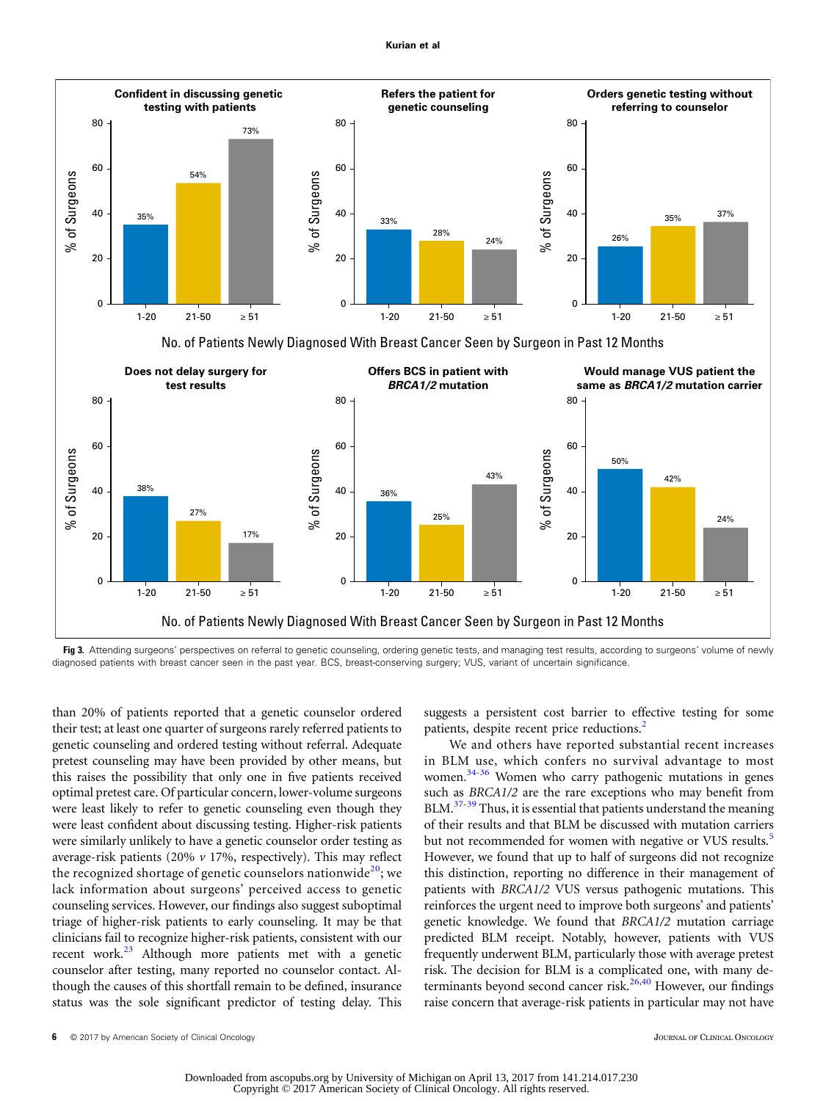### Kurian et al

<span id="page-5-0"></span>

Fig 3. Attending surgeons' perspectives on referral to genetic counseling, ordering genetic tests, and managing test results, according to surgeons' volume of newly diagnosed patients with breast cancer seen in the past year. BCS, breast-conserving surgery; VUS, variant of uncertain significance.

No. of Patients Newly Diagnosed With Breast Cancer Seen by Surgeon in Past 12 Months

than 20% of patients reported that a genetic counselor ordered their test; at least one quarter of surgeons rarely referred patients to genetic counseling and ordered testing without referral. Adequate pretest counseling may have been provided by other means, but this raises the possibility that only one in five patients received optimal pretest care. Of particular concern, lower-volume surgeons were least likely to refer to genetic counseling even though they were least confident about discussing testing. Higher-risk patients were similarly unlikely to have a genetic counselor order testing as average-risk patients (20%  $v$  17%, respectively). This may reflect the recognized shortage of genetic counselors nationwide<sup>[20](#page-6-0)</sup>; we lack information about surgeons' perceived access to genetic counseling services. However, our findings also suggest suboptimal triage of higher-risk patients to early counseling. It may be that clinicians fail to recognize higher-risk patients, consistent with our recent work.<sup>[23](#page-7-0)</sup> Although more patients met with a genetic counselor after testing, many reported no counselor contact. Although the causes of this shortfall remain to be defined, insurance status was the sole significant predictor of testing delay. This suggests a persistent cost barrier to effective testing for some patients, despite recent price reductions.<sup>[2](#page-6-0)</sup>

We and others have reported substantial recent increases in BLM use, which confers no survival advantage to most women.<sup>[34-36](#page-7-0)</sup> Women who carry pathogenic mutations in genes such as BRCA1/2 are the rare exceptions who may benefit from  $BLM.<sup>37-39</sup>$  $BLM.<sup>37-39</sup>$  $BLM.<sup>37-39</sup>$  Thus, it is essential that patients understand the meaning of their results and that BLM be discussed with mutation carriers but not recommended for women with negative or VUS results.<sup>[5](#page-6-0)</sup> However, we found that up to half of surgeons did not recognize this distinction, reporting no difference in their management of patients with BRCA1/2 VUS versus pathogenic mutations. This reinforces the urgent need to improve both surgeons' and patients' genetic knowledge. We found that BRCA1/2 mutation carriage predicted BLM receipt. Notably, however, patients with VUS frequently underwent BLM, particularly those with average pretest risk. The decision for BLM is a complicated one, with many de-terminants beyond second cancer risk.<sup>[26,40](#page-7-0)</sup> However, our findings raise concern that average-risk patients in particular may not have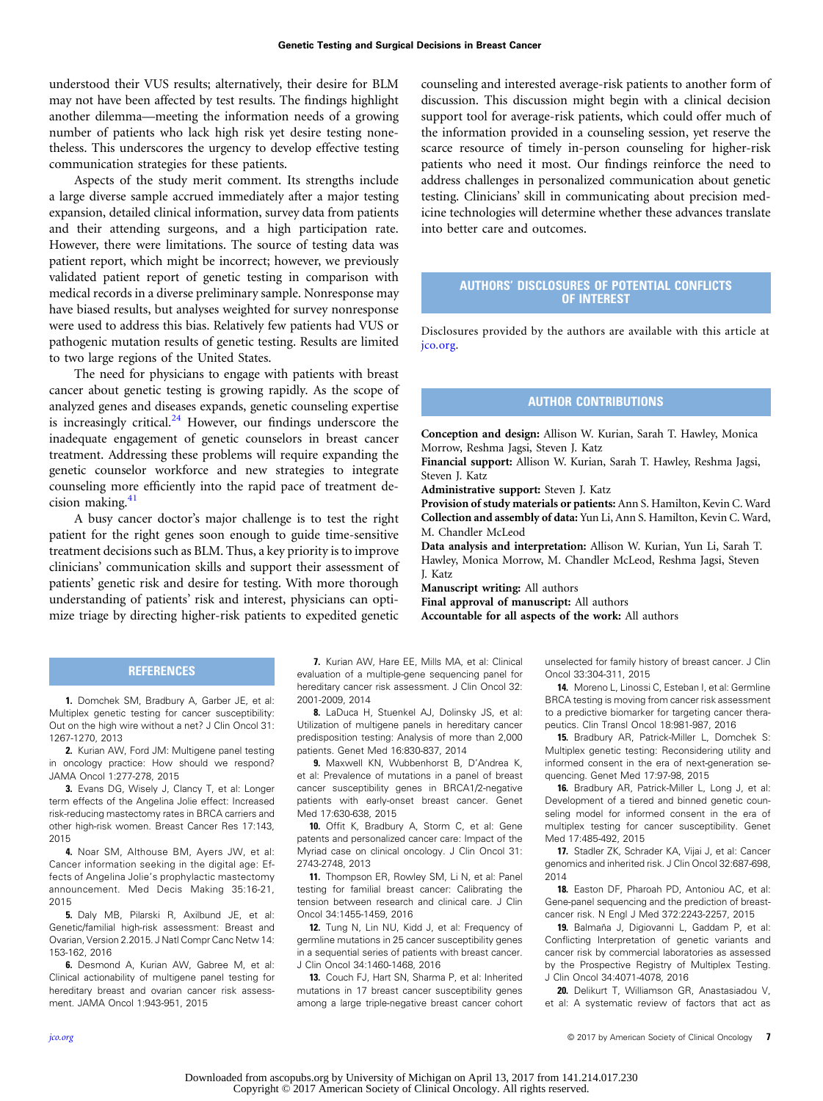<span id="page-6-0"></span>understood their VUS results; alternatively, their desire for BLM may not have been affected by test results. The findings highlight another dilemma—meeting the information needs of a growing number of patients who lack high risk yet desire testing nonetheless. This underscores the urgency to develop effective testing communication strategies for these patients.

Aspects of the study merit comment. Its strengths include a large diverse sample accrued immediately after a major testing expansion, detailed clinical information, survey data from patients and their attending surgeons, and a high participation rate. However, there were limitations. The source of testing data was patient report, which might be incorrect; however, we previously validated patient report of genetic testing in comparison with medical records in a diverse preliminary sample. Nonresponse may have biased results, but analyses weighted for survey nonresponse were used to address this bias. Relatively few patients had VUS or pathogenic mutation results of genetic testing. Results are limited to two large regions of the United States.

The need for physicians to engage with patients with breast cancer about genetic testing is growing rapidly. As the scope of analyzed genes and diseases expands, genetic counseling expertise is increasingly critical. $24$  However, our findings underscore the inadequate engagement of genetic counselors in breast cancer treatment. Addressing these problems will require expanding the genetic counselor workforce and new strategies to integrate counseling more efficiently into the rapid pace of treatment decision making. $41$ 

A busy cancer doctor's major challenge is to test the right patient for the right genes soon enough to guide time-sensitive treatment decisions such as BLM. Thus, a key priority is to improve clinicians' communication skills and support their assessment of patients' genetic risk and desire for testing. With more thorough understanding of patients' risk and interest, physicians can optimize triage by directing higher-risk patients to expedited genetic

counseling and interested average-risk patients to another form of discussion. This discussion might begin with a clinical decision support tool for average-risk patients, which could offer much of the information provided in a counseling session, yet reserve the scarce resource of timely in-person counseling for higher-risk patients who need it most. Our findings reinforce the need to address challenges in personalized communication about genetic testing. Clinicians' skill in communicating about precision medicine technologies will determine whether these advances translate into better care and outcomes.

# AUTHORS' DISCLOSURES OF POTENTIAL CONFLICTS OF INTEREST

Disclosures provided by the authors are available with this article at ico.org.

# AUTHOR CONTRIBUTIONS

Conception and design: Allison W. Kurian, Sarah T. Hawley, Monica Morrow, Reshma Jagsi, Steven J. Katz

Financial support: Allison W. Kurian, Sarah T. Hawley, Reshma Jagsi, Steven J. Katz

Administrative support: Steven J. Katz

Provision of study materials or patients: Ann S. Hamilton, Kevin C. Ward Collection and assembly of data: Yun Li, Ann S. Hamilton, Kevin C. Ward, M. Chandler McLeod

Data analysis and interpretation: Allison W. Kurian, Yun Li, Sarah T. Hawley, Monica Morrow, M. Chandler McLeod, Reshma Jagsi, Steven J. Katz

Manuscript writing: All authors

Final approval of manuscript: All authors

Accountable for all aspects of the work: All authors

### **REFERENCES**

1. Domchek SM, Bradbury A, Garber JE, et al: Multiplex genetic testing for cancer susceptibility: Out on the high wire without a net? J Clin Oncol 31: 1267-1270, 2013

2. Kurian AW, Ford JM: Multigene panel testing in oncology practice: How should we respond? JAMA Oncol 1:277-278, 2015

3. Evans DG, Wisely J, Clancy T, et al: Longer term effects of the Angelina Jolie effect: Increased risk-reducing mastectomy rates in BRCA carriers and other high-risk women. Breast Cancer Res 17:143, 2015

4. Noar SM, Althouse BM, Ayers JW, et al: Cancer information seeking in the digital age: Effects of Angelina Jolie's prophylactic mastectomy announcement. Med Decis Making 35:16-21, 2015

5. Daly MB, Pilarski R, Axilbund JE, et al: Genetic/familial high-risk assessment: Breast and Ovarian, Version 2.2015. J Natl Compr Canc Netw 14: 153-162, 2016

6. Desmond A, Kurian AW, Gabree M, et al: Clinical actionability of multigene panel testing for hereditary breast and ovarian cancer risk assessment. JAMA Oncol 1:943-951, 2015

7. Kurian AW, Hare EE, Mills MA, et al: Clinical evaluation of a multiple-gene sequencing panel for hereditary cancer risk assessment. J Clin Oncol 32: 2001-2009, 2014

8. LaDuca H, Stuenkel AJ, Dolinsky JS, et al: Utilization of multigene panels in hereditary cancer predisposition testing: Analysis of more than 2,000 patients. Genet Med 16:830-837, 2014

9. Maxwell KN, Wubbenhorst B, D'Andrea K, et al: Prevalence of mutations in a panel of breast cancer susceptibility genes in BRCA1/2-negative patients with early-onset breast cancer. Genet Med 17:630-638, 2015

10. Offit K, Bradbury A, Storm C, et al: Gene patents and personalized cancer care: Impact of the Myriad case on clinical oncology. J Clin Oncol 31: 2743-2748, 2013

11. Thompson ER, Rowley SM, Li N, et al: Panel testing for familial breast cancer: Calibrating the tension between research and clinical care. J Clin Oncol 34:1455-1459, 2016

12. Tung N, Lin NU, Kidd J, et al: Frequency of germline mutations in 25 cancer susceptibility genes in a sequential series of patients with breast cancer. J Clin Oncol 34:1460-1468, 2016

13. Couch FJ, Hart SN, Sharma P, et al: Inherited mutations in 17 breast cancer susceptibility genes among a large triple-negative breast cancer cohort unselected for family history of breast cancer. J Clin Oncol 33:304-311, 2015

14. Moreno L, Linossi C, Esteban I, et al: Germline BRCA testing is moving from cancer risk assessment to a predictive biomarker for targeting cancer therapeutics. Clin Transl Oncol 18:981-987, 2016

15. Bradbury AR, Patrick-Miller L, Domchek S: Multiplex genetic testing: Reconsidering utility and informed consent in the era of next-generation sequencing. Genet Med 17:97-98, 2015

16. Bradbury AR, Patrick-Miller L, Long J, et al: Development of a tiered and binned genetic counseling model for informed consent in the era of multiplex testing for cancer susceptibility. Genet Med 17:485-492, 2015

17. Stadler ZK, Schrader KA, Vijai J, et al: Cancer genomics and inherited risk. J Clin Oncol 32:687-698, 2014

18. Easton DF, Pharoah PD, Antoniou AC, et al: Gene-panel sequencing and the prediction of breastcancer risk. N Engl J Med 372:2243-2257, 2015

19. Balmaña J, Digiovanni L, Gaddam P, et al: Conflicting Interpretation of genetic variants and cancer risk by commercial laboratories as assessed by the Prospective Registry of Multiplex Testing. J Clin Oncol 34:4071-4078, 2016

20. Delikurt T, Williamson GR, Anastasiadou V, et al: A systematic review of factors that act as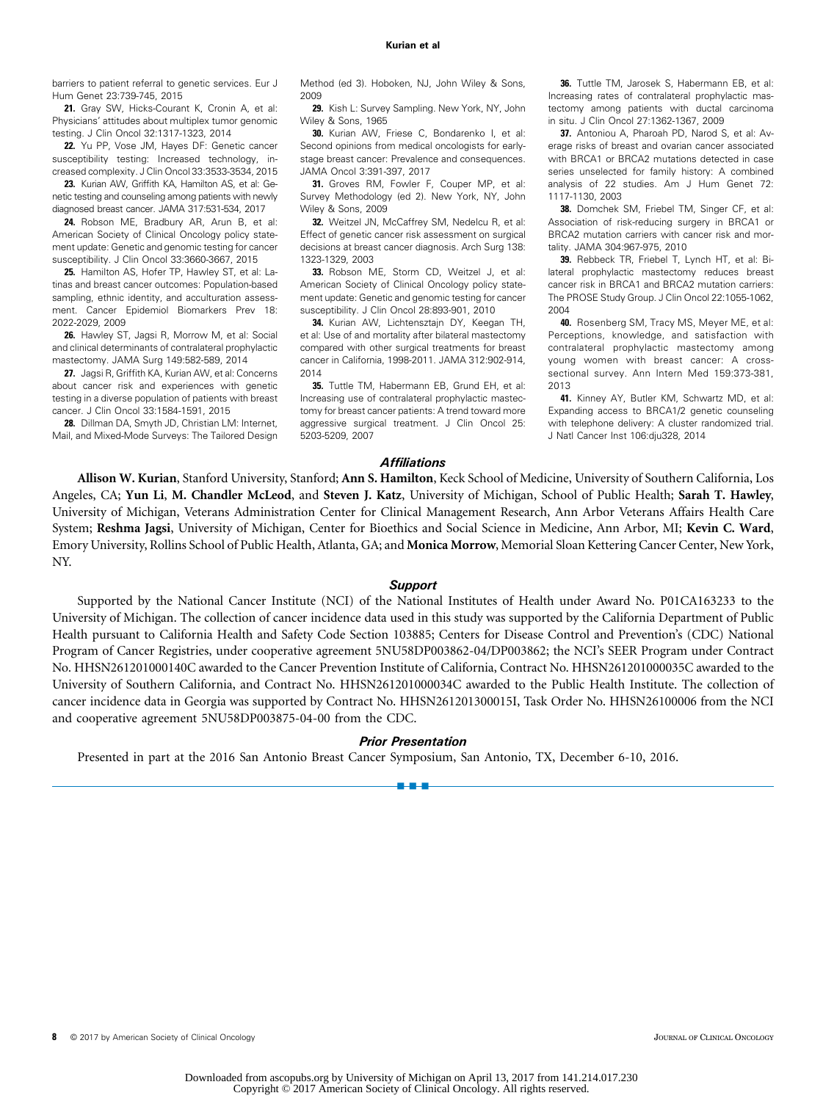<span id="page-7-0"></span>barriers to patient referral to genetic services. Eur J Hum Genet 23:739-745, 2015

21. Gray SW, Hicks-Courant K, Cronin A, et al: Physicians' attitudes about multiplex tumor genomic testing. J Clin Oncol 32:1317-1323, 2014

22. Yu PP, Vose JM, Haves DF: Genetic cancer susceptibility testing: Increased technology, increased complexity. J Clin Oncol 33:3533-3534, 2015

23. Kurian AW, Griffith KA, Hamilton AS, et al: Genetic testing and counseling among patients with newly diagnosed breast cancer. JAMA 317:531-534, 2017

24. Robson ME, Bradbury AR, Arun B, et al: American Society of Clinical Oncology policy statement update: Genetic and genomic testing for cancer susceptibility. J Clin Oncol 33:3660-3667, 2015

25. Hamilton AS, Hofer TP, Hawley ST, et al: Latinas and breast cancer outcomes: Population-based sampling, ethnic identity, and acculturation assessment. Cancer Epidemiol Biomarkers Prev 18: 2022-2029, 2009

26. Hawley ST, Jagsi R, Morrow M, et al: Social and clinical determinants of contralateral prophylactic mastectomy. JAMA Surg 149:582-589, 2014

27. Jagsi R, Griffith KA, Kurian AW, et al: Concerns about cancer risk and experiences with genetic testing in a diverse population of patients with breast cancer. J Clin Oncol 33:1584-1591, 2015

28. Dillman DA, Smyth JD, Christian LM: Internet, Mail, and Mixed-Mode Surveys: The Tailored Design Method (ed 3). Hoboken, NJ, John Wiley & Sons, 2009

29. Kish L: Survey Sampling. New York, NY, John Wiley & Sons, 1965

30. Kurian AW, Friese C, Bondarenko I, et al: Second opinions from medical oncologists for earlystage breast cancer: Prevalence and consequences. JAMA Oncol 3:391-397, 2017

31. Groves RM, Fowler F, Couper MP, et al: Survey Methodology (ed 2). New York, NY, John Wiley & Sons, 2009

32. Weitzel JN, McCaffrey SM, Nedelcu R, et al: Effect of genetic cancer risk assessment on surgical decisions at breast cancer diagnosis. Arch Surg 138: 1323-1329, 2003

33. Robson ME, Storm CD, Weitzel J, et al: American Society of Clinical Oncology policy statement update: Genetic and genomic testing for cancer susceptibility. J Clin Oncol 28:893-901, 2010

34. Kurian AW, Lichtensztajn DY, Keegan TH, et al: Use of and mortality after bilateral mastectomy compared with other surgical treatments for breast cancer in California, 1998-2011. JAMA 312:902-914, 2014

35. Tuttle TM, Habermann EB, Grund EH, et al: Increasing use of contralateral prophylactic mastectomy for breast cancer patients: A trend toward more aggressive surgical treatment. J Clin Oncol 25: 5203-5209, 2007

36. Tuttle TM, Jarosek S, Habermann EB, et al: Increasing rates of contralateral prophylactic mastectomy among patients with ductal carcinoma in situ. J Clin Oncol 27:1362-1367, 2009

37. Antoniou A, Pharoah PD, Narod S, et al: Average risks of breast and ovarian cancer associated with BRCA1 or BRCA2 mutations detected in case series unselected for family history: A combined analysis of 22 studies. Am J Hum Genet 72: 1117-1130, 2003

38. Domchek SM, Friebel TM, Singer CF, et al: Association of risk-reducing surgery in BRCA1 or BRCA2 mutation carriers with cancer risk and mortality. JAMA 304:967-975, 2010

39. Rebbeck TR, Friebel T, Lynch HT, et al: Bilateral prophylactic mastectomy reduces breast cancer risk in BRCA1 and BRCA2 mutation carriers: The PROSE Study Group. J Clin Oncol 22:1055-1062, 2004

40. Rosenberg SM, Tracy MS, Meyer ME, et al: Perceptions, knowledge, and satisfaction with contralateral prophylactic mastectomy among young women with breast cancer: A crosssectional survey. Ann Intern Med 159:373-381, 2013

41. Kinney AY, Butler KM, Schwartz MD, et al: Expanding access to BRCA1/2 genetic counseling with telephone delivery: A cluster randomized trial. J Natl Cancer Inst 106:dju328, 2014

#### **Affiliations**

Allison W. Kurian, Stanford University, Stanford; Ann S. Hamilton, Keck School of Medicine, University of Southern California, Los Angeles, CA; Yun Li, M. Chandler McLeod, and Steven J. Katz, University of Michigan, School of Public Health; Sarah T. Hawley, University of Michigan, Veterans Administration Center for Clinical Management Research, Ann Arbor Veterans Affairs Health Care System; Reshma Jagsi, University of Michigan, Center for Bioethics and Social Science in Medicine, Ann Arbor, MI; Kevin C. Ward, Emory University, Rollins School of Public Health, Atlanta, GA; and Monica Morrow, Memorial Sloan Kettering Cancer Center, New York, NY.

### **Support**

Supported by the National Cancer Institute (NCI) of the National Institutes of Health under Award No. P01CA163233 to the University of Michigan. The collection of cancer incidence data used in this study was supported by the California Department of Public Health pursuant to California Health and Safety Code Section 103885; Centers for Disease Control and Prevention's (CDC) National Program of Cancer Registries, under cooperative agreement 5NU58DP003862-04/DP003862; the NCI's SEER Program under Contract No. HHSN261201000140C awarded to the Cancer Prevention Institute of California, Contract No. HHSN261201000035C awarded to the University of Southern California, and Contract No. HHSN261201000034C awarded to the Public Health Institute. The collection of cancer incidence data in Georgia was supported by Contract No. HHSN261201300015I, Task Order No. HHSN26100006 from the NCI and cooperative agreement 5NU58DP003875-04-00 from the CDC.

### Prior Presentation

a - a - a

Presented in part at the 2016 San Antonio Breast Cancer Symposium, San Antonio, TX, December 6-10, 2016.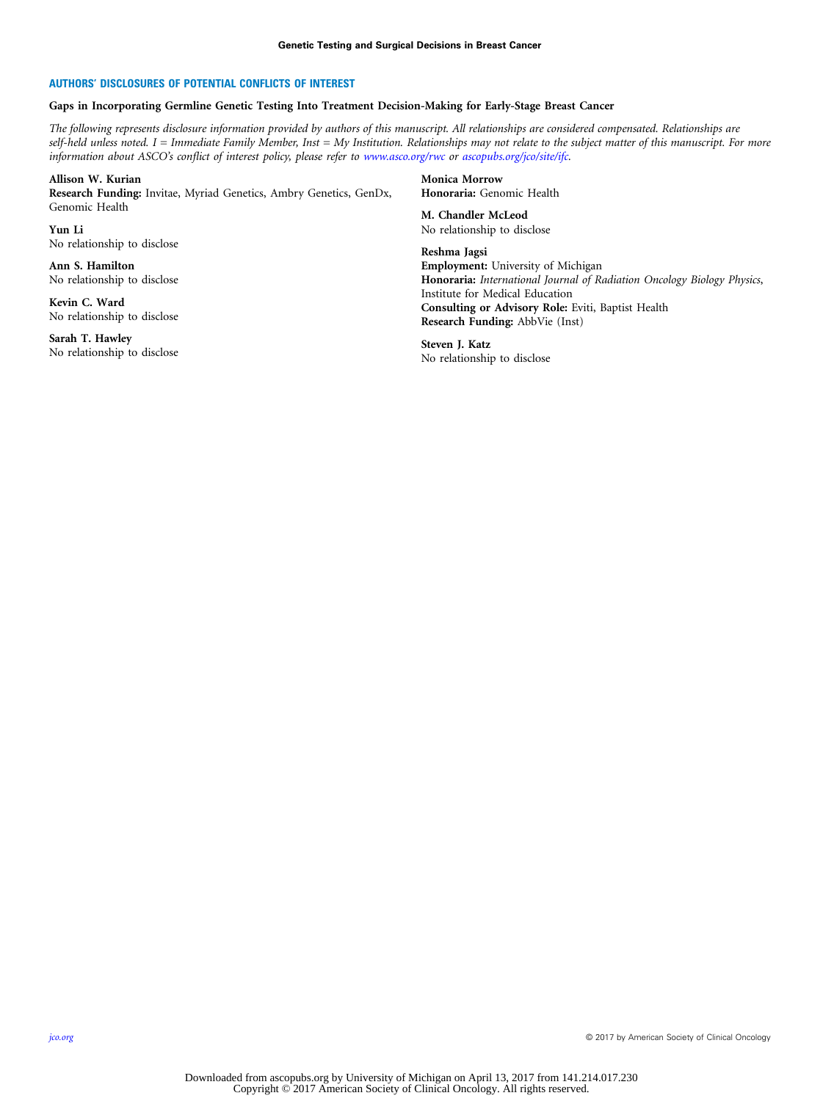### AUTHORS' DISCLOSURES OF POTENTIAL CONFLICTS OF INTEREST

### Gaps in Incorporating Germline Genetic Testing Into Treatment Decision-Making for Early-Stage Breast Cancer

The following represents disclosure information provided by authors of this manuscript. All relationships are considered compensated. Relationships are self-held unless noted. I = Immediate Family Member, Inst = My Institution. Relationships may not relate to the subject matter of this manuscript. For more information about ASCO's conflict of interest policy, please refer to [www.asco.org/rwc](http://www.asco.org/rwc) or [ascopubs.org/jco/site/ifc](http://ascopubs.org/jco/site/ifc).

Allison W. Kurian

Research Funding: Invitae, Myriad Genetics, Ambry Genetics, GenDx, Genomic Health

Yun Li No relationship to disclose

Ann S. Hamilton No relationship to disclose

Kevin C. Ward No relationship to disclose

Sarah T. Hawley No relationship to disclose Monica Morrow Honoraria: Genomic Health

M. Chandler McLeod No relationship to disclose

Reshma Jagsi Employment: University of Michigan Honoraria: International Journal of Radiation Oncology Biology Physics, Institute for Medical Education Consulting or Advisory Role: Eviti, Baptist Health Research Funding: AbbVie (Inst)

Steven J. Katz No relationship to disclose